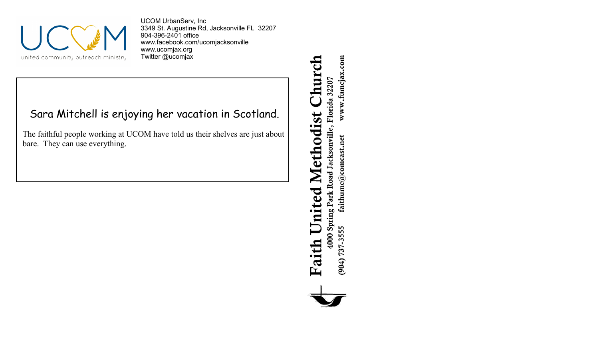

UCOM UrbanServ, Inc 3349 St. Augustine Rd, Jacksonville FL 32207 904-396-2401 office [www.facebook.com/ucomjacksonville](http://www.facebook.com/ucomjacksonville) [www.ucomjax.org](http://www.ucomjax.org) Twitter @ucomjax

## Sara Mitchell is enjoying her vacation in Scotland.

The faithful people working at UCOM have told us their shelves are just about bare. They can use everything.

## Church 4000 Spring Park Road Jacksonville, Florida 32207 United Methodist Faith

www.fumcjax.com  $\operatorname{faithume}(\mathcal{Q} \text{comest.net})$  $(904) 737 - 3555$